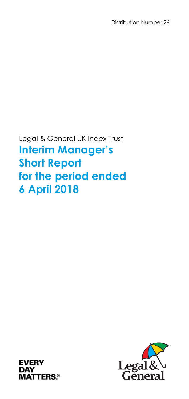Distribution Number 26

Legal & General UK Index Trust **Interim Manager's Short Report for the period ended 6 April 2018** 



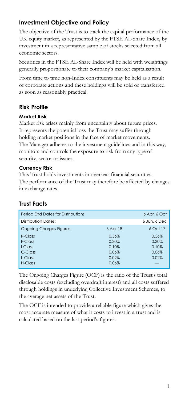## **Investment Objective and Policy**

The objective of the Trust is to track the capital performance of the UK equity market, as represented by the FTSE All-Share Index, by investment in a representative sample of stocks selected from all economic sectors.

Securities in the FTSE All-Share Index will be held with weightings generally proportionate to their company's market capitalisation.

From time to time non-Index constituents may be held as a result of corporate actions and these holdings will be sold or transferred as soon as reasonably practical.

## **Risk Profile**

### **Market Risk**

Market risk arises mainly from uncertainty about future prices. It represents the potential loss the Trust may suffer through holding market positions in the face of market movements. The Manager adheres to the investment guidelines and in this way, monitors and controls the exposure to risk from any type of security, sector or issuer.

### **Currency Risk**

This Trust holds investments in overseas financial securities. The performance of the Trust may therefore be affected by changes in exchange rates.

## **Trust Facts**

| Period End Dates for Distributions: |          | 6 Apr, 6 Oct |
|-------------------------------------|----------|--------------|
| Distribution Dates:                 |          | 6 Jun, 6 Dec |
| <b>Ongoing Charges Figures:</b>     | 6 Apr 18 | 6 Oct 17     |
| R-Class                             | 0.56%    | 0.56%        |
| F-Class                             | 0.30%    | 0.30%        |
| I-Class                             | 0.10%    | 0.10%        |
| C-Class                             | 0.06%    | 0.06%        |
| L-Class                             | 0.02%    | 0.02%        |
| H-Class                             | 0.06%    |              |

The Ongoing Charges Figure (OCF) is the ratio of the Trust's total disclosable costs (excluding overdraft interest) and all costs suffered through holdings in underlying Collective Investment Schemes, to the average net assets of the Trust.

The OCF is intended to provide a reliable figure which gives the most accurate measure of what it costs to invest in a trust and is calculated based on the last period's figures.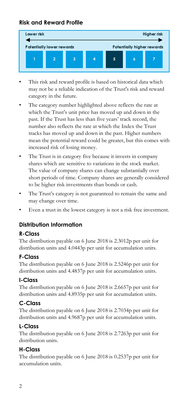## **Risk and Reward Profile**



- This risk and reward profile is based on historical data which may not be a reliable indication of the Trust's risk and reward category in the future.
- The category number highlighted above reflects the rate at which the Trust's unit price has moved up and down in the past. If the Trust has less than five years' track record, the number also reflects the rate at which the Index the Trust tracks has moved up and down in the past. Higher numbers mean the potential reward could be greater, but this comes with increased risk of losing money.
- The Trust is in category five because it invests in company shares which are sensitive to variations in the stock market. The value of company shares can change substantially over short periods of time. Company shares are generally considered to be higher risk investments than bonds or cash.
- The Trust's category is not guaranteed to remain the same and may change over time.
- Even a trust in the lowest category is not a risk free investment.

## **Distribution Information**

### **R-Class**

The distribution payable on 6 June 2018 is 2.3012p per unit for distribution units and 4.0443p per unit for accumulation units.

### **F-Class**

The distribution payable on 6 June 2018 is 2.5246p per unit for distribution units and 4.4837p per unit for accumulation units.

### **I-Class**

The distribution payable on 6 June 2018 is 2.6657p per unit for distribution units and 4.8935p per unit for accumulation units.

## **C-Class**

The distribution payable on 6 June 2018 is 2.7034p per unit for distribution units and 4.9687p per unit for accumulation units.

## **L-Class**

The distribution payable on 6 June 2018 is 2.7263p per unit for distribution units.

## **H-Class**

The distribution payable on 6 June 2018 is 0.2537p per unit for accumulation units.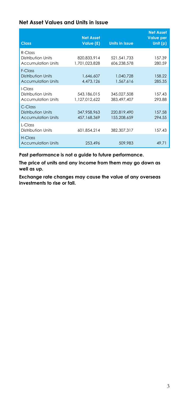### **Net Asset Values and Units in Issue**

| <b>Class</b>                                                  | <b>Net Asset</b><br>Value (£) | <b>Units in Issue</b>      | <b>Net Asset</b><br><b>Value per</b><br>Unit $(p)$ |
|---------------------------------------------------------------|-------------------------------|----------------------------|----------------------------------------------------|
| $R$ -Class<br>Distribution Units<br><b>Accumulation Units</b> | 820.833.914<br>1,701,023,828  | 521.541.733<br>606,238,578 | 157.39<br>280.59                                   |
| $F-CI$ ass<br>Distribution Units<br><b>Accumulation Units</b> | 1,646,607<br>4,473,126        | 1.040.728<br>1,567,616     | 158.22<br>285.35                                   |
| I-Class<br>Distribution Units<br><b>Accumulation Units</b>    | 543.186.015<br>1.127.012.622  | 345,027,508<br>383,497,407 | 157.43<br>293.88                                   |
| C-Class<br>Distribution Units<br><b>Accumulation Units</b>    | 347,958,963<br>457,168,369    | 220,819,490<br>155,208,659 | 157.58<br>294.55                                   |
| $l$ -Class<br>Distribution Units                              | 601.854.214                   | 382,307,317                | 157.43                                             |
| H-Class<br><b>Accumulation Units</b>                          | 253,496                       | 509,983                    | 49.71                                              |

**Past performance is not a guide to future performance.** 

**The price of units and any income from them may go down as well as up.** 

**Exchange rate changes may cause the value of any overseas investments to rise or fall.**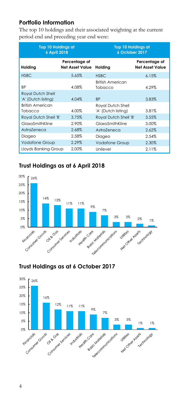## **Portfolio Information**

The top 10 holdings and their associated weighting at the current period end and preceding year end were:

| <b>Top 10 Holdings at</b><br>6 April 2018       |                                         | <b>Top 10 Holdings at</b><br>6 October 2017 |                                         |
|-------------------------------------------------|-----------------------------------------|---------------------------------------------|-----------------------------------------|
| Holding                                         | Percentage of<br><b>Net Asset Value</b> | Holding                                     | Percentage of<br><b>Net Asset Value</b> |
| <b>HSBC</b>                                     | 5.65%                                   | <b>HSBC</b>                                 | 6.15%                                   |
| ВP                                              | 4.08%                                   | <b>British American</b><br>Tobacco          | 4.29%                                   |
| <b>Royal Dutch Shell</b><br>'A' (Dutch listing) | 4.04%                                   | <b>BP</b>                                   | 3.83%                                   |
| <b>British American</b><br>Tobacco              | 4.00%                                   | Royal Dutch Shell<br>'A' (Dutch listing)    | 3.81%                                   |
| Royal Dutch Shell 'B'                           | 3.75%                                   | Royal Dutch Shell 'B'                       | 3.55%                                   |
| GlaxoSmithKline                                 | 2.90%                                   | GlaxoSmithKline                             | 3.00%                                   |
| AstraZeneca                                     | 2.68%                                   | AstraZeneca                                 | 2.62%                                   |
| Diageo                                          | 2.58%                                   | Diageo                                      | 2.54%                                   |
| <b>Vodafone Group</b>                           | 2.29%                                   | <b>Vodafone Group</b>                       | 2.30%                                   |
| Lloyds Banking Group                            | 2.00%                                   | Unilever                                    | 2.11%                                   |

# **Trust Holdings as at 6 April 2018**



## **Trust Holdings as at 6 October 2017**

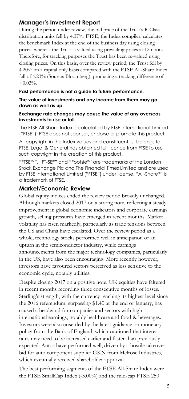### **Manager's Investment Report**

During the period under review, the bid price of the Trust's R-Class distribution units fell by 4.37%. FTSE, the Index compiler, calculates the benchmark Index at the end of the business day using closing prices, whereas the Trust is valued using prevailing prices at 12 noon. Therefore, for tracking purposes the Trust has been re-valued using closing prices. On this basis, over the review period, the Trust fell by 4.20% on a capital only basis compared with the FTSE All-Share Index fall of 4.23% (Source: Bloomberg), producing a tracking difference of +0.03%.

#### **Past performance is not a guide to future performance.**

#### **The value of investments and any income from them may go down as well as up.**

#### **Exchange rate changes may cause the value of any overseas investments to rise or fall.**

The FTSE All-Share Index is calculated by FTSE International Limited ("FTSE"). FTSE does not sponsor, endorse or promote this product.

All copyright in the Index values and constituent list belongs to FTSE. Legal & General has obtained full licence from FTSE to use such copyright in the creation of this product.

"FTSETM", "FT-SE®" and "Footsie®" are trademarks of the London Stock Exchange Plc and The Financial Times Limited and are used by FTSE International Limited ("FTSE") under license. "All-Share®" is a trademark of FTSE.

### **Market/Economic Review**

Global equity indices ended the review period broadly unchanged. Although markets closed 2017 on a strong note, reflecting a steady improvement in global economic indicators and corporate earnings growth, selling pressures have emerged in recent months. Market volatility has risen markedly, particularly as trade tensions between the US and China have escalated. Over the review period as a whole, technology stocks performed well in anticipation of an upturn in the semiconductor industry, while earnings announcements from the major technology companies, particularly in the US, have also been encouraging. More recently however, investors have favoured sectors perceived as less sensitive to the economic cycle, notably utilities.

Despite closing 2017 on a positive note, UK equities have faltered in recent months recording three consecutive months of losses. Sterling's strength, with the currency reaching its highest level since the 2016 referendum, surpassing \$1.40 at the end of January, has caused a headwind for companies and sectors with high international earnings, notably healthcare and food & beverages. Investors were also unsettled by the latest guidance on monetary policy from the Bank of England, which cautioned that interest rates may need to be increased earlier and faster than previously expected. Autos have performed well, driven by a hostile takeover bid for auto component supplier GKN from Melrose Industries, which eventually received shareholder approval.

The best performing segments of the FTSE All-Share Index were the FTSE SmallCap Index (-3.00%) and the mid-cap FTSE 250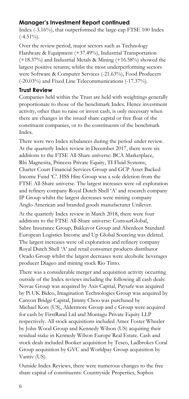## **Manager's Investment Report continued**

Index (-3.16%), that outperformed the large-cap FTSE 100 Index  $(-4.51\%)$ .

Over the review period, major sectors such as Technology Hardware & Equipment (+37.49%), Industrial Transportation (+18.37%) and Industrial Metals & Mining (+16.58%) showed the largest positive returns; whilst the most underperforming sectors were Software & Computer Services (-21.63%), Food Producers (-20.03%) and Fixed Line Telecommunications (-17.37%).

### **Trust Review**

Companies held within the Trust are held with weightings generally proportionate to those of the benchmark Index. Hence investment activity, other than to raise or invest cash, is only necessary when there are changes in the issued share capital or free float of the constituent companies, or to the constituents of the benchmark Index.

There were two Index rebalances during the period under review. At the quarterly Index review in December 2017, there were six additions to the FTSE All-Share universe: BCA Marketplace, Rhi Magnesita, Princess Private Equity, TI Fluid Systems, Charter Court Financial Services Group and GCP Asset Backed Income Fund 'C'. HSS Hire Group was a sole deletion from the FTSE All-Share universe. The largest increases were oil exploration and refinery company Royal Dutch Shell 'A' and research company IP Group whilst the largest decreases were mining company Anglo American and branded goods manufacturer Unilever.

At the quarterly Index review in March 2018, there were four additions to the FTSE All-Share universe: ContourGlobal, Sabre Insurance Group, Bakkavor Group and Aberdeen Standard European Logistics Income and Up Global Sourcing was deleted. The largest increases were oil exploration and refinery company Royal Dutch Shell 'A' and retail consumer products distributor Ocado Group whilst the largest decreases were alcoholic beverages producer Diageo and mining stock Rio Tinto.

There was a considerable merger and acquisition activity occurring outside of the Index reviews including the following all cash deals: Novae Group was acquired by Axis Capital, Paysafe was acquired by Pi UK Bidco, Imagination Technologies Group was acquired by Canyon Bridge Capital, Jimmy Choo was purchased by Michael Kors (US), Aldermore Group and c Group were acquired for cash by FirstRand Ltd and Montagu Private Equity LLP respectively. All stock acquisitions included Amec Foster Wheeler by John Wood Group and Kennedy Wilson (US) acquiring their residual stake in Kennedy Wilson Europe Real Estate. Cash and stock deals included Booker acquisition by Tesco, Ladbrokes Coral Group acquisition by GVC and Worldpay Group acquisition by Vantiv (US).

Outside Index Reviews, there were numerous changes to the free share capital of constituents: Countryside Properties, Sophos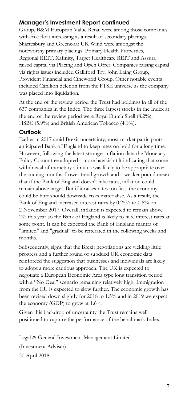## **Manager's Investment Report continued**

Group, B&M European Value Retail were among those companies with free float increasing as a result of secondary placings. Shaftesbury and Greencoat UK Wind were amongst the noteworthy primary placings. Primary Health Properties, Regional REIT, Xafinity, Target Healthcare REIT and Assura raised capital via Placing and Open Offer. Companies raising capital via rights issues included Galliford Try, John Laing Group, Provident Financial and Cineworld Group. Other notable events included Carillion deletion from the FTSE universe as the company was placed into liquidation.

At the end of the review period the Trust had holdings in all of the 637 companies in the Index. The three largest stocks in the Index at the end of the review period were Royal Dutch Shell (8.2%), HSBC (5.9%) and British American Tobacco (4.1%).

### **Outlook**

Earlier in 2017 amid Brexit uncertainty, most market participants anticipated Bank of England to keep rates on hold for a long time. However, following the latest stronger inflation data the Monetary Policy Committee adopted a more hawkish tilt indicating that some withdrawal of monetary stimulus was likely to be appropriate over the coming months. Lower trend growth and a weaker pound mean that if the Bank of England doesn't hike rates, inflation could remain above target. But if it raises rates too fast, the economy could be hurt should downside risks materialise. As a result, the Bank of England increased interest rates by 0.25% to 0.5% on 2 November 2017. Overall, inflation is expected to remain above 2% this year so the Bank of England is likely to hike interest rates at some point. It can be expected the Bank of England mantra of "limited" and "gradual" to be reiterated in the following weeks and months.

Subsequently, signs that the Brexit negotiations are yielding little progress and a further round of subdued UK economic data reinforced the suggestion that businesses and individuals are likely to adopt a more cautious approach. The UK is expected to negotiate a European Economic Area type long transition period with a "No Deal" scenario remaining relatively high. Immigration from the EU is expected to slow further. The economic growth has been revised down slightly for 2018 to 1.5% and in 2019 we expect the economy (GDP) to grow at 1.6%.

Given this backdrop of uncertainty the Trust remains well positioned to capture the performance of the benchmark Index.

Legal & General Investment Management Limited (Investment Adviser) 30 April 2018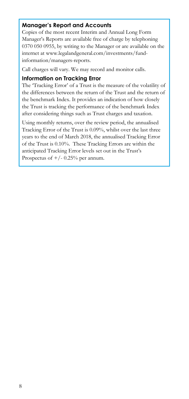### **Manager's Report and Accounts**

Copies of the most recent Interim and Annual Long Form Manager's Reports are available free of charge by telephoning 0370 050 0955, by writing to the Manager or are available on the internet at www.legalandgeneral.com/investments/fundinformation/managers-reports.

Call charges will vary. We may record and monitor calls.

### **Information on Tracking Error**

The 'Tracking Error' of a Trust is the measure of the volatility of the differences between the return of the Trust and the return of the benchmark Index. It provides an indication of how closely the Trust is tracking the performance of the benchmark Index after considering things such as Trust charges and taxation.

Using monthly returns, over the review period, the annualised Tracking Error of the Trust is 0.09%, whilst over the last three years to the end of March 2018, the annualised Tracking Error of the Trust is 0.10%. These Tracking Errors are within the anticipated Tracking Error levels set out in the Trust's Prospectus of  $+/- 0.25%$  per annum.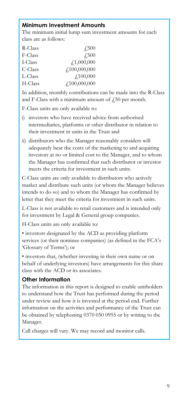## **Minimum Investment Amounts**

The minimum initial lump sum investment amounts for each class are as follows:

| R-Class | 4.500              |
|---------|--------------------|
| F-Class | $\sqrt{.500}$      |
| I-Class | f, 1,000,000       |
| C-Class | f100,000,000       |
| L-Class | f100,000           |
| H-Class | $f_{.}100,000,000$ |

In addition, monthly contributions can be made into the R-Class and F-Class with a minimum amount of  $\frac{1}{2}50$  per month.

F-Class units are only available to:

- i) investors who have received advice from authorised intermediaries, platforms or other distributor in relation to their investment in units in the Trust and
- ii) distributors who the Manager reasonably considers will adequately bear the costs of the marketing to and acquiring investors at no or limited cost to the Manager, and to whom the Manager has confirmed that such distributor or investor meets the criteria for investment in such units.

C-Class units are only available to distributors who actively market and distribute such units (or whom the Manager believes intends to do so) and to whom the Manager has confirmed by letter that they meet the criteria for investment in such units.

L-Class is not available to retail customers and is intended only for investment by Legal & General group companies.

H-Class units are only available to:

• investors designated by the ACD as providing platform services (or their nominee companies) (as defined in the FCA's 'Glossary of Terms'); or

• investors that, (whether investing in their own name or on behalf of underlying investors) have arrangements for this share class with the ACD or its associates.

### **Other Information**

l

The information in this report is designed to enable unitholders to understand how the Trust has performed during the period under review and how it is invested at the period end. Further information on the activities and performance of the Trust can be obtained by telephoning 0370 050 0955 or by writing to the Manager.

Call charges will vary. We may record and monitor calls.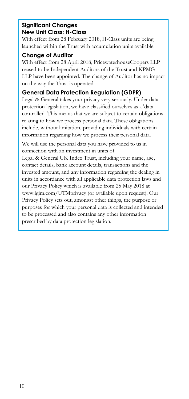### **Significant Changes New Unit Class: H-Class**

With effect from 28 February 2018, H-Class units are being launched within the Trust with accumulation units available.

## **Change of Auditor**

With effect from 28 April 2018, PricewaterhouseCoopers LLP ceased to be Independent Auditors of the Trust and KPMG LLP have been appointed. The change of Auditor has no impact on the way the Trust is operated.

## **General Data Protection Regulation (GDPR)**

Legal & General takes your privacy very seriously. Under data protection legislation, we have classified ourselves as a 'data controller'. This means that we are subject to certain obligations relating to how we process personal data. These obligations include, without limitation, providing individuals with certain information regarding how we process their personal data.

We will use the personal data you have provided to us in connection with an investment in units of

Legal & General UK Index Trust, including your name, age, contact details, bank account details, transactions and the invested amount, and any information regarding the dealing in units in accordance with all applicable data protection laws and our Privacy Policy which is available from 25 May 2018 at www.lgim.com/UTMprivacy (or available upon request). Our Privacy Policy sets out, amongst other things, the purpose or purposes for which your personal data is collected and intended to be processed and also contains any other information prescribed by data protection legislation.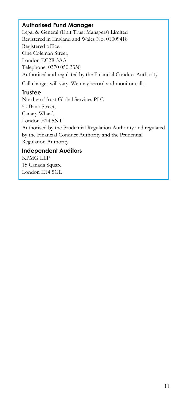### **Authorised Fund Manager**

Legal & General (Unit Trust Managers) Limited Registered in England and Wales No. 01009418 Registered office: One Coleman Street, London EC2R 5AA Telephone: 0370 050 3350 Authorised and regulated by the Financial Conduct Authority Call charges will vary. We may record and monitor calls.

### **Trustee**

Northern Trust Global Services PLC 50 Bank Street, Canary Wharf, London E14 5NT Authorised by the Prudential Regulation Authority and regulated by the Financial Conduct Authority and the Prudential Regulation Authority

## **Independent Auditors**

KPMG LLP 15 Canada Square London E14 5GL